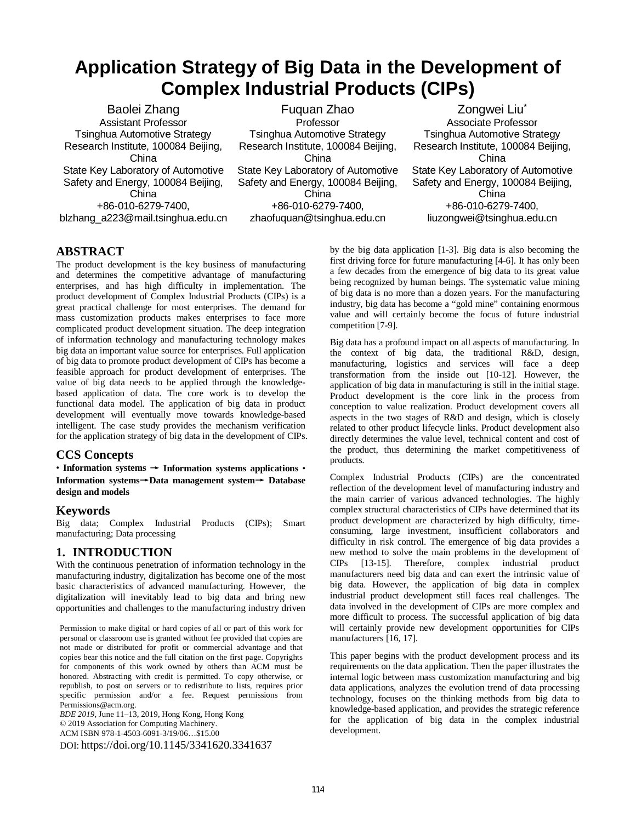# **Application Strategy of Big Data in the Development of Complex Industrial Products (CIPs)**

Baolei Zhang Assistant Professor Tsinghua Automotive Strategy Research Institute, 100084 Beijing, China State Key Laboratory of Automotive Safety and Energy, 100084 Beijing, China +86-010-6279-7400, blzhang\_a223@mail.tsinghua.edu.cn

Fuquan Zhao Professor Tsinghua Automotive Strategy Research Institute, 100084 Beijing, China State Key Laboratory of Automotive Safety and Energy, 100084 Beijing, China +86-010-6279-7400, zhaofuquan@tsinghua.edu.cn

Zongwei Liu<sup>\*</sup> Associate Professor Tsinghua Automotive Strategy Research Institute, 100084 Beijing, China State Key Laboratory of Automotive Safety and Energy, 100084 Beijing, China +86-010-6279-7400, liuzongwei@tsinghua.edu.cn

### **ABSTRACT**

The product development is the key business of manufacturing and determines the competitive advantage of manufacturing enterprises, and has high difficulty in implementation. The product development of Complex Industrial Products (CIPs) is a great practical challenge for most enterprises. The demand for mass customization products makes enterprises to face more complicated product development situation. The deep integration of information technology and manufacturing technology makes big data an important value source for enterprises. Full application of big data to promote product development of CIPs has become a feasible approach for product development of enterprises. The value of big data needs to be applied through the knowledgebased application of data. The core work is to develop the functional data model. The application of big data in product development will eventually move towards knowledge-based intelligent. The case study provides the mechanism verification for the application strategy of big data in the development of CIPs.

#### **CCS Concepts**

• **Information systems** → **Information systems applications** • **Information systems**→**Data management system**→ **Database design and models**

#### **Keywords**

Big data; Complex Industrial Products (CIPs); Smart manufacturing; Data processing

# **1. INTRODUCTION**

With the continuous penetration of information technology in the manufacturing industry, digitalization has become one of the most basic characteristics of advanced manufacturing. However, the digitalization will inevitably lead to big data and bring new opportunities and challenges to the manufacturing industry driven

Permission to make digital or hard copies of all or part of this work for personal or classroom use is granted without fee provided that copies are not made or distributed for profit or commercial advantage and that copies bear this notice and the full citation on the first page. Copyrights for components of this work owned by others than ACM must be honored. Abstracting with credit is permitted. To copy otherwise, or republish, to post on servers or to redistribute to lists, requires prior specific permission and/or a fee. Request permissions from Permissions@acm.org.

*BDE 2019,* June 11–13, 2019, Hong Kong, Hong Kong © 2019 Association for Computing Machinery. ACM ISBN 978-1-4503-6091-3/19/06…\$15.00 DOI[: https://doi.org/10.1145/3341620.3341637](https://doi.org/10.1145/3341620.3341637) by the big data application [1-3]. Big data is also becoming the first driving force for future manufacturing [4-6]. It has only been a few decades from the emergence of big data to its great value being recognized by human beings. The systematic value mining of big data is no more than a dozen years. For the manufacturing industry, big data has become a "gold mine" containing enormous value and will certainly become the focus of future industrial competition [7-9].

Big data has a profound impact on all aspects of manufacturing. In the context of big data, the traditional R&D, design, manufacturing, logistics and services will face a deep transformation from the inside out [10-12]. However, the application of big data in manufacturing is still in the initial stage. Product development is the core link in the process from conception to value realization. Product development covers all aspects in the two stages of R&D and design, which is closely related to other product lifecycle links. Product development also directly determines the value level, technical content and cost of the product, thus determining the market competitiveness of products.

Complex Industrial Products (CIPs) are the concentrated reflection of the development level of manufacturing industry and the main carrier of various advanced technologies. The highly complex structural characteristics of CIPs have determined that its product development are characterized by high difficulty, timeconsuming, large investment, insufficient collaborators and difficulty in risk control. The emergence of big data provides a new method to solve the main problems in the development of CIPs [13-15]. Therefore, complex industrial product manufacturers need big data and can exert the intrinsic value of big data. However, the application of big data in complex industrial product development still faces real challenges. The data involved in the development of CIPs are more complex and more difficult to process. The successful application of big data will certainly provide new development opportunities for CIPs manufacturers [16, 17].

This paper begins with the product development process and its requirements on the data application. Then the paper illustrates the internal logic between mass customization manufacturing and big data applications, analyzes the evolution trend of data processing technology, focuses on the thinking methods from big data to knowledge-based application, and provides the strategic reference for the application of big data in the complex industrial development.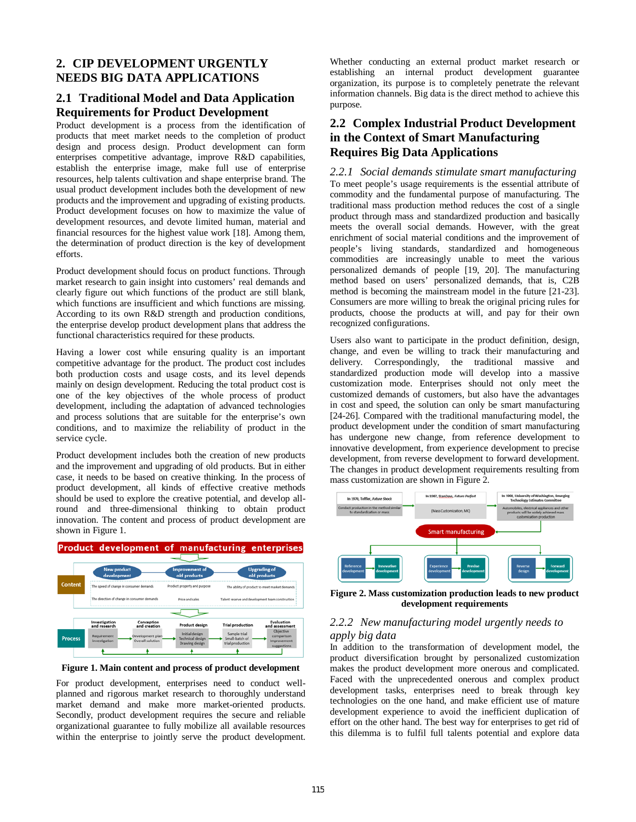## **2. CIP DEVELOPMENT URGENTLY NEEDS BIG DATA APPLICATIONS**

#### **2.1 Traditional Model and Data Application Requirements for Product Development**

Product development is a process from the identification of products that meet market needs to the completion of product design and process design. Product development can form enterprises competitive advantage, improve R&D capabilities, establish the enterprise image, make full use of enterprise resources, help talents cultivation and shape enterprise brand. The usual product development includes both the development of new products and the improvement and upgrading of existing products. Product development focuses on how to maximize the value of development resources, and devote limited human, material and financial resources for the highest value work [18]. Among them, the determination of product direction is the key of development efforts.

Product development should focus on product functions. Through market research to gain insight into customers' real demands and clearly figure out which functions of the product are still blank, which functions are insufficient and which functions are missing. According to its own R&D strength and production conditions, the enterprise develop product development plans that address the functional characteristics required for these products.

Having a lower cost while ensuring quality is an important competitive advantage for the product. The product cost includes both production costs and usage costs, and its level depends mainly on design development. Reducing the total product cost is one of the key objectives of the whole process of product development, including the adaptation of advanced technologies and process solutions that are suitable for the enterprise's own conditions, and to maximize the reliability of product in the service cycle.

Product development includes both the creation of new products and the improvement and upgrading of old products. But in either case, it needs to be based on creative thinking. In the process of product development, all kinds of effective creative methods should be used to explore the creative potential, and develop allround and three-dimensional thinking to obtain product innovation. The content and process of product development are shown in Figure 1.



**Figure 1. Main content and process of product development**

For product development, enterprises need to conduct wellplanned and rigorous market research to thoroughly understand market demand and make more market-oriented products. Secondly, product development requires the secure and reliable organizational guarantee to fully mobilize all available resources within the enterprise to jointly serve the product development.

Whether conducting an external product market research or establishing an internal product development guarantee organization, its purpose is to completely penetrate the relevant information channels. Big data is the direct method to achieve this purpose.

# **2.2 Complex Industrial Product Development in the Context of Smart Manufacturing Requires Big Data Applications**

*2.2.1 Social demands stimulate smart manufacturing*  To meet people's usage requirements is the essential attribute of commodity and the fundamental purpose of manufacturing. The traditional mass production method reduces the cost of a single product through mass and standardized production and basically meets the overall social demands. However, with the great enrichment of social material conditions and the improvement of people's living standards, standardized and homogeneous commodities are increasingly unable to meet the various personalized demands of people [19, 20]. The manufacturing method based on users' personalized demands, that is, C2B method is becoming the mainstream model in the future [21-23]. Consumers are more willing to break the original pricing rules for products, choose the products at will, and pay for their own recognized configurations.

Users also want to participate in the product definition, design, change, and even be willing to track their manufacturing and delivery. Correspondingly, the traditional massive and standardized production mode will develop into a massive customization mode. Enterprises should not only meet the customized demands of customers, but also have the advantages in cost and speed, the solution can only be smart manufacturing [24-26]. Compared with the traditional manufacturing model, the product development under the condition of smart manufacturing has undergone new change, from reference development to innovative development, from experience development to precise development, from reverse development to forward development. The changes in product development requirements resulting from mass customization are shown in Figure 2.



**Figure 2. Mass customization production leads to new product development requirements**

#### *2.2.2 New manufacturing model urgently needs to apply big data*

In addition to the transformation of development model, the product diversification brought by personalized customization makes the product development more onerous and complicated. Faced with the unprecedented onerous and complex product development tasks, enterprises need to break through key technologies on the one hand, and make efficient use of mature development experience to avoid the inefficient duplication of effort on the other hand. The best way for enterprises to get rid of this dilemma is to fulfil full talents potential and explore data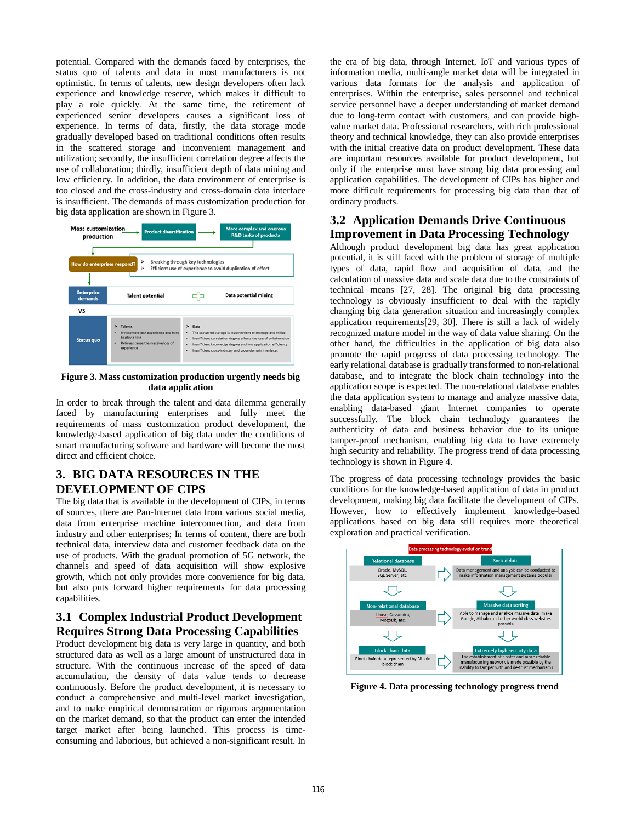potential. Compared with the demands faced by enterprises, the status quo of talents and data in most manufacturers is not optimistic. In terms of talents, new design developers often lack experience and knowledge reserve, which makes it difficult to play a role quickly. At the same time, the retirement of experienced senior developers causes a significant loss of experience. In terms of data, firstly, the data storage mode gradually developed based on traditional conditions often results in the scattered storage and inconvenient management and utilization; secondly, the insufficient correlation degree affects the use of collaboration; thirdly, insufficient depth of data mining and low efficiency. In addition, the data environment of enterprise is too closed and the cross-industry and cross-domain data interface is insufficient. The demands of mass customization production for big data application are shown in Figure 3.



#### **Figure 3. Mass customization production urgently needs big data application**

In order to break through the talent and data dilemma generally faced by manufacturing enterprises and fully meet the requirements of mass customization product development, the knowledge-based application of big data under the conditions of smart manufacturing software and hardware will become the most direct and efficient choice.

#### **3. BIG DATA RESOURCES IN THE DEVELOPMENT OF CIPS**

The big data that is available in the development of CIPs, in terms of sources, there are Pan-Internet data from various social media, data from enterprise machine interconnection, and data from industry and other enterprises; In terms of content, there are both technical data, interview data and customer feedback data on the use of products. With the gradual promotion of 5G network, the channels and speed of data acquisition will show explosive growth, which not only provides more convenience for big data, but also puts forward higher requirements for data processing capabilities.

### **3.1 Complex Industrial Product Development Requires Strong Data Processing Capabilities**

Product development big data is very large in quantity, and both structured data as well as a large amount of unstructured data in structure. With the continuous increase of the speed of data accumulation, the density of data value tends to decrease continuously. Before the product development, it is necessary to conduct a comprehensive and multi-level market investigation, and to make empirical demonstration or rigorous argumentation on the market demand, so that the product can enter the intended target market after being launched. This process is timeconsuming and laborious, but achieved a non-significant result. In

the era of big data, through Internet, IoT and various types of information media, multi-angle market data will be integrated in various data formats for the analysis and application of enterprises. Within the enterprise, sales personnel and technical service personnel have a deeper understanding of market demand due to long-term contact with customers, and can provide highvalue market data. Professional researchers, with rich professional theory and technical knowledge, they can also provide enterprises with the initial creative data on product development. These data are important resources available for product development, but only if the enterprise must have strong big data processing and application capabilities. The development of CIPs has higher and more difficult requirements for processing big data than that of ordinary products.

#### **3.2 Application Demands Drive Continuous Improvement in Data Processing Technology**

Although product development big data has great application potential, it is still faced with the problem of storage of multiple types of data, rapid flow and acquisition of data, and the calculation of massive data and scale data due to the constraints of technical means [27, 28]. The original big data processing technology is obviously insufficient to deal with the rapidly changing big data generation situation and increasingly complex application requirements[29, 30]. There is still a lack of widely recognized mature model in the way of data value sharing. On the other hand, the difficulties in the application of big data also promote the rapid progress of data processing technology. The early relational database is gradually transformed to non-relational database, and to integrate the block chain technology into the application scope is expected. The non-relational database enables the data application system to manage and analyze massive data, enabling data-based giant Internet companies to operate successfully. The block chain technology guarantees the authenticity of data and business behavior due to its unique tamper-proof mechanism, enabling big data to have extremely high security and reliability. The progress trend of data processing technology is shown in Figure 4.

The progress of data processing technology provides the basic conditions for the knowledge-based application of data in product development, making big data facilitate the development of CIPs. However, how to effectively implement knowledge-based applications based on big data still requires more theoretical exploration and practical verification.



**Figure 4. Data processing technology progress trend**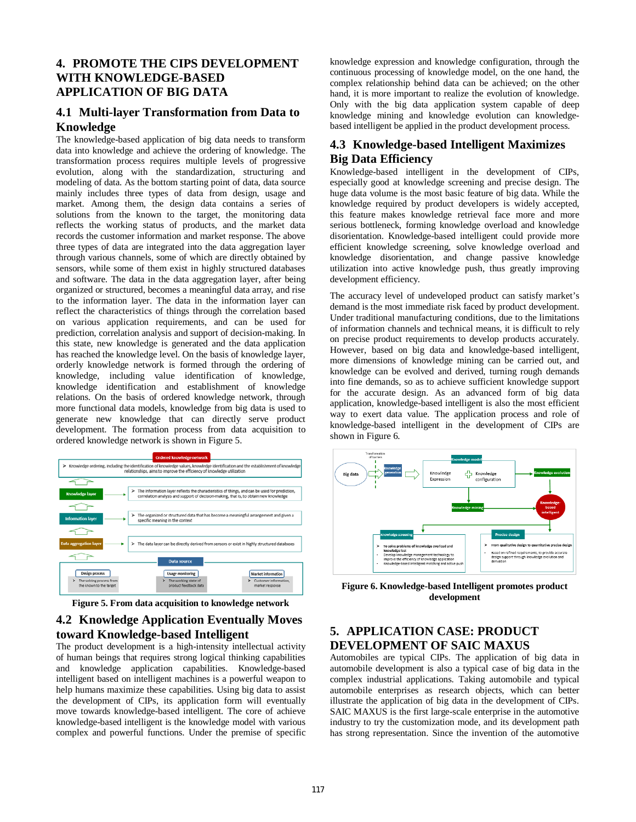# **4. PROMOTE THE CIPS DEVELOPMENT WITH KNOWLEDGE-BASED APPLICATION OF BIG DATA**

#### **4.1 Multi-layer Transformation from Data to Knowledge**

The knowledge-based application of big data needs to transform data into knowledge and achieve the ordering of knowledge. The transformation process requires multiple levels of progressive evolution, along with the standardization, structuring and modeling of data. As the bottom starting point of data, data source mainly includes three types of data from design, usage and market. Among them, the design data contains a series of solutions from the known to the target, the monitoring data reflects the working status of products, and the market data records the customer information and market response. The above three types of data are integrated into the data aggregation layer through various channels, some of which are directly obtained by sensors, while some of them exist in highly structured databases and software. The data in the data aggregation layer, after being organized or structured, becomes a meaningful data array, and rise to the information layer. The data in the information layer can reflect the characteristics of things through the correlation based on various application requirements, and can be used for prediction, correlation analysis and support of decision-making. In this state, new knowledge is generated and the data application has reached the knowledge level. On the basis of knowledge layer, orderly knowledge network is formed through the ordering of knowledge, including value identification of knowledge, knowledge identification and establishment of knowledge relations. On the basis of ordered knowledge network, through more functional data models, knowledge from big data is used to generate new knowledge that can directly serve product development. The formation process from data acquisition to ordered knowledge network is shown in Figure 5.



**Figure 5. From data acquisition to knowledge network**

# **4.2 Knowledge Application Eventually Moves toward Knowledge-based Intelligent**

The product development is a high-intensity intellectual activity of human beings that requires strong logical thinking capabilities and knowledge application capabilities. Knowledge-based intelligent based on intelligent machines is a powerful weapon to help humans maximize these capabilities. Using big data to assist the development of CIPs, its application form will eventually move towards knowledge-based intelligent. The core of achieve knowledge-based intelligent is the knowledge model with various complex and powerful functions. Under the premise of specific knowledge expression and knowledge configuration, through the continuous processing of knowledge model, on the one hand, the complex relationship behind data can be achieved; on the other hand, it is more important to realize the evolution of knowledge. Only with the big data application system capable of deep knowledge mining and knowledge evolution can knowledgebased intelligent be applied in the product development process.

# **4.3 Knowledge-based Intelligent Maximizes Big Data Efficiency**

Knowledge-based intelligent in the development of CIPs, especially good at knowledge screening and precise design. The huge data volume is the most basic feature of big data. While the knowledge required by product developers is widely accepted, this feature makes knowledge retrieval face more and more serious bottleneck, forming knowledge overload and knowledge disorientation. Knowledge-based intelligent could provide more efficient knowledge screening, solve knowledge overload and knowledge disorientation, and change passive knowledge utilization into active knowledge push, thus greatly improving development efficiency.

The accuracy level of undeveloped product can satisfy market's demand is the most immediate risk faced by product development. Under traditional manufacturing conditions, due to the limitations of information channels and technical means, it is difficult to rely on precise product requirements to develop products accurately. However, based on big data and knowledge-based intelligent, more dimensions of knowledge mining can be carried out, and knowledge can be evolved and derived, turning rough demands into fine demands, so as to achieve sufficient knowledge support for the accurate design. As an advanced form of big data application, knowledge-based intelligent is also the most efficient way to exert data value. The application process and role of knowledge-based intelligent in the development of CIPs are shown in Figure 6.



**Figure 6. Knowledge-based Intelligent promotes product development**

# **5. APPLICATION CASE: PRODUCT DEVELOPMENT OF SAIC MAXUS**

Automobiles are typical CIPs. The application of big data in automobile development is also a typical case of big data in the complex industrial applications. Taking automobile and typical automobile enterprises as research objects, which can better illustrate the application of big data in the development of CIPs. SAIC MAXUS is the first large-scale enterprise in the automotive industry to try the customization mode, and its development path has strong representation. Since the invention of the automotive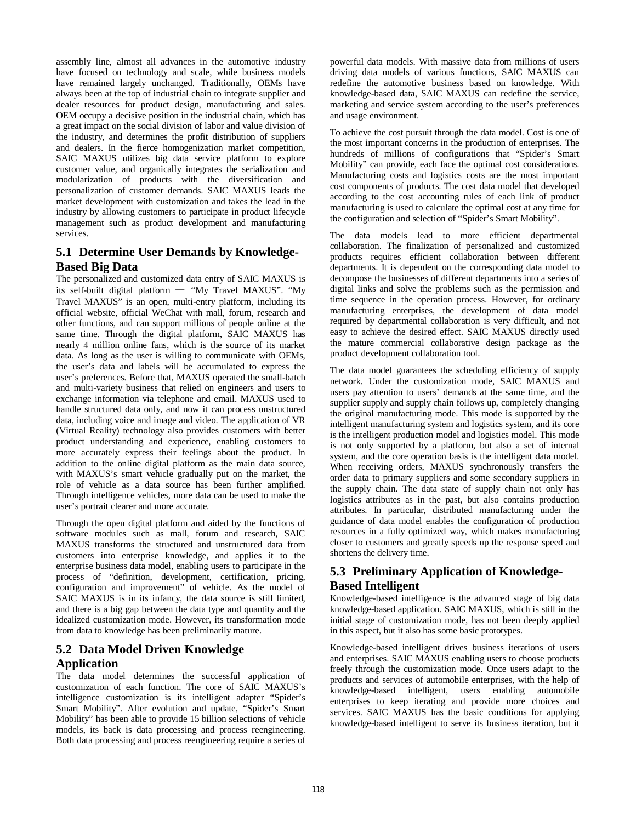assembly line, almost all advances in the automotive industry have focused on technology and scale, while business models have remained largely unchanged. Traditionally, OEMs have always been at the top of industrial chain to integrate supplier and dealer resources for product design, manufacturing and sales. OEM occupy a decisive position in the industrial chain, which has a great impact on the social division of labor and value division of the industry, and determines the profit distribution of suppliers and dealers. In the fierce homogenization market competition, SAIC MAXUS utilizes big data service platform to explore customer value, and organically integrates the serialization and modularization of products with the diversification and personalization of customer demands. SAIC MAXUS leads the market development with customization and takes the lead in the industry by allowing customers to participate in product lifecycle management such as product development and manufacturing services.

# **5.1 Determine User Demands by Knowledge-Based Big Data**

The personalized and customized data entry of SAIC MAXUS is its self-built digital platform — "My Travel MAXUS". "My Travel MAXUS" is an open, multi-entry platform, including its official website, official WeChat with mall, forum, research and other functions, and can support millions of people online at the same time. Through the digital platform, SAIC MAXUS has nearly 4 million online fans, which is the source of its market data. As long as the user is willing to communicate with OEMs, the user's data and labels will be accumulated to express the user's preferences. Before that, MAXUS operated the small-batch and multi-variety business that relied on engineers and users to exchange information via telephone and email. MAXUS used to handle structured data only, and now it can process unstructured data, including voice and image and video. The application of VR (Virtual Reality) technology also provides customers with better product understanding and experience, enabling customers to more accurately express their feelings about the product. In addition to the online digital platform as the main data source, with MAXUS's smart vehicle gradually put on the market, the role of vehicle as a data source has been further amplified. Through intelligence vehicles, more data can be used to make the user's portrait clearer and more accurate.

Through the open digital platform and aided by the functions of software modules such as mall, forum and research, SAIC MAXUS transforms the structured and unstructured data from customers into enterprise knowledge, and applies it to the enterprise business data model, enabling users to participate in the process of "definition, development, certification, pricing, configuration and improvement" of vehicle. As the model of SAIC MAXUS is in its infancy, the data source is still limited, and there is a big gap between the data type and quantity and the idealized customization mode. However, its transformation mode from data to knowledge has been preliminarily mature.

# **5.2 Data Model Driven Knowledge Application**

The data model determines the successful application of customization of each function. The core of SAIC MAXUS's intelligence customization is its intelligent adapter "Spider's Smart Mobility". After evolution and update, "Spider's Smart Mobility" has been able to provide 15 billion selections of vehicle models, its back is data processing and process reengineering. Both data processing and process reengineering require a series of powerful data models. With massive data from millions of users driving data models of various functions, SAIC MAXUS can redefine the automotive business based on knowledge. With knowledge-based data, SAIC MAXUS can redefine the service, marketing and service system according to the user's preferences and usage environment.

To achieve the cost pursuit through the data model. Cost is one of the most important concerns in the production of enterprises. The hundreds of millions of configurations that "Spider's Smart Mobility" can provide, each face the optimal cost considerations. Manufacturing costs and logistics costs are the most important cost components of products. The cost data model that developed according to the cost accounting rules of each link of product manufacturing is used to calculate the optimal cost at any time for the configuration and selection of "Spider's Smart Mobility".

The data models lead to more efficient departmental collaboration. The finalization of personalized and customized products requires efficient collaboration between different departments. It is dependent on the corresponding data model to decompose the businesses of different departments into a series of digital links and solve the problems such as the permission and time sequence in the operation process. However, for ordinary manufacturing enterprises, the development of data model required by departmental collaboration is very difficult, and not easy to achieve the desired effect. SAIC MAXUS directly used the mature commercial collaborative design package as the product development collaboration tool.

The data model guarantees the scheduling efficiency of supply network. Under the customization mode, SAIC MAXUS and users pay attention to users' demands at the same time, and the supplier supply and supply chain follows up, completely changing the original manufacturing mode. This mode is supported by the intelligent manufacturing system and logistics system, and its core is the intelligent production model and logistics model. This mode is not only supported by a platform, but also a set of internal system, and the core operation basis is the intelligent data model. When receiving orders, MAXUS synchronously transfers the order data to primary suppliers and some secondary suppliers in the supply chain. The data state of supply chain not only has logistics attributes as in the past, but also contains production attributes. In particular, distributed manufacturing under the guidance of data model enables the configuration of production resources in a fully optimized way, which makes manufacturing closer to customers and greatly speeds up the response speed and shortens the delivery time.

# **5.3 Preliminary Application of Knowledge-Based Intelligent**

Knowledge-based intelligence is the advanced stage of big data knowledge-based application. SAIC MAXUS, which is still in the initial stage of customization mode, has not been deeply applied in this aspect, but it also has some basic prototypes.

Knowledge-based intelligent drives business iterations of users and enterprises. SAIC MAXUS enabling users to choose products freely through the customization mode. Once users adapt to the products and services of automobile enterprises, with the help of knowledge-based intelligent, users enabling automobile enterprises to keep iterating and provide more choices and services. SAIC MAXUS has the basic conditions for applying knowledge-based intelligent to serve its business iteration, but it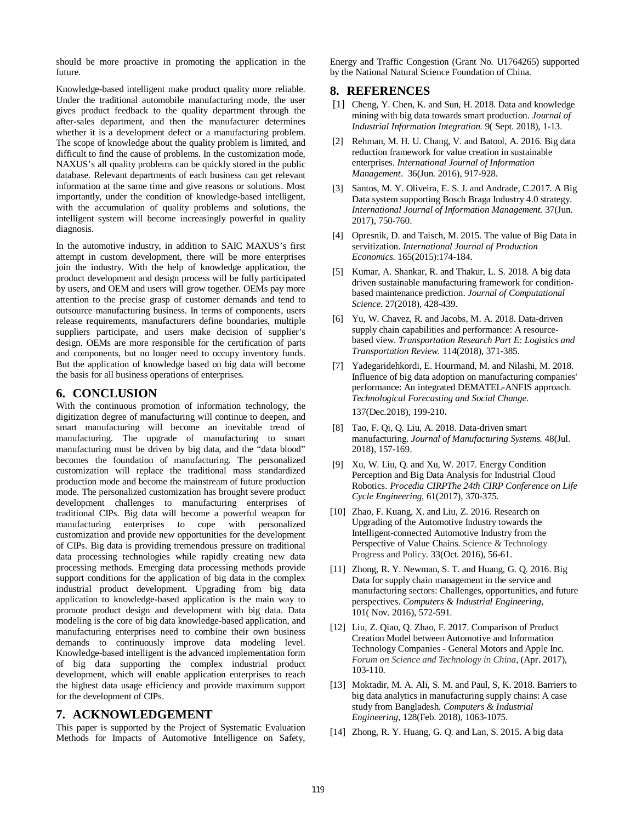should be more proactive in promoting the application in the future.

Knowledge-based intelligent make product quality more reliable. Under the traditional automobile manufacturing mode, the user gives product feedback to the quality department through the after-sales department, and then the manufacturer determines whether it is a development defect or a manufacturing problem. The scope of knowledge about the quality problem is limited, and difficult to find the cause of problems. In the customization mode, NAXUS's all quality problems can be quickly stored in the public database. Relevant departments of each business can get relevant information at the same time and give reasons or solutions. Most importantly, under the condition of knowledge-based intelligent, with the accumulation of quality problems and solutions, the intelligent system will become increasingly powerful in quality diagnosis.

In the automotive industry, in addition to SAIC MAXUS's first attempt in custom development, there will be more enterprises join the industry. With the help of knowledge application, the product development and design process will be fully participated by users, and OEM and users will grow together. OEMs pay more attention to the precise grasp of customer demands and tend to outsource manufacturing business. In terms of components, users release requirements, manufacturers define boundaries, multiple suppliers participate, and users make decision of supplier's design. OEMs are more responsible for the certification of parts and components, but no longer need to occupy inventory funds. But the application of knowledge based on big data will become the basis for all business operations of enterprises.

#### **6. CONCLUSION**

With the continuous promotion of information technology, the digitization degree of manufacturing will continue to deepen, and smart manufacturing will become an inevitable trend of manufacturing. The upgrade of manufacturing to smart manufacturing must be driven by big data, and the "data blood" becomes the foundation of manufacturing. The personalized customization will replace the traditional mass standardized production mode and become the mainstream of future production mode. The personalized customization has brought severe product development challenges to manufacturing enterprises of traditional CIPs. Big data will become a powerful weapon for manufacturing enterprises to cope with personalized customization and provide new opportunities for the development of CIPs. Big data is providing tremendous pressure on traditional data processing technologies while rapidly creating new data processing methods. Emerging data processing methods provide support conditions for the application of big data in the complex industrial product development. Upgrading from big data application to knowledge-based application is the main way to promote product design and development with big data. Data modeling is the core of big data knowledge-based application, and manufacturing enterprises need to combine their own business demands to continuously improve data modeling level. Knowledge-based intelligent is the advanced implementation form of big data supporting the complex industrial product development, which will enable application enterprises to reach the highest data usage efficiency and provide maximum support for the development of CIPs.

#### **7. ACKNOWLEDGEMENT**

This paper is supported by the Project of Systematic Evaluation Methods for Impacts of Automotive Intelligence on Safety,

Energy and Traffic Congestion (Grant No. U1764265) supported by the National Natural Science Foundation of China.

#### **8. REFERENCES**

- [1] Cheng, Y. Chen, K. and Sun, H. 2018. Data and knowledge mining with big data towards smart production. *Journal of Industrial Information Integration.* 9( Sept. 2018), 1-13.
- [2] Rehman, M. H. U. Chang, V. and Batool, A. 2016. Big data reduction framework for value creation in sustainable enterprises. *International Journal of Information Management*. 36(Jun. 2016), 917-928.
- [3] Santos, M. Y. Oliveira, E. S. J. and Andrade, C.2017. A Big Data system supporting Bosch Braga Industry 4.0 strategy. *International Journal of Information Management.* 37(Jun. 2017), 750-760.
- [4] Opresnik, D. and Taisch, M. 2015. The value of Big Data in servitization. *International Journal of Production Economics.* 165(2015):174-184.
- [5] Kumar, A. Shankar, R. and Thakur, L. S. 2018. A big data driven sustainable manufacturing framework for conditionbased maintenance prediction. *Journal of Computational Science.* 27(2018), 428-439.
- [6] Yu, W. Chavez, R. and Jacobs, M. A. 2018. Data-driven supply chain capabilities and performance: A resourcebased view. *Transportation Research Part E: Logistics and Transportation Review*. 114(2018), 371-385.
- [7] Yadegaridehkordi, E. Hourmand, M. and Nilashi, M. 2018. Influence of big data adoption on manufacturing companies' performance: An integrated DEMATEL-ANFIS approach. *Technological Forecasting and Social Change*. 137(Dec.2018), 199-210.
- [8] Tao, F. Qi, Q. Liu, A. 2018. Data-driven smart manufacturing. *Journal of Manufacturing Systems.* 48(Jul. 2018), 157-169.
- [9] Xu, W. Liu, Q. and Xu, W. 2017. Energy Condition Perception and Big Data Analysis for Industrial Cloud Robotics. *Procedia CIRPThe 24th CIRP Conference on Life Cycle Engineering*, 61(2017), 370-375.
- [10] Zhao, F. Kuang, X. and Liu, Z. 2016. Research on Upgrading of the Automotive Industry towards the Intelligent-connected Automotive Industry from the Perspective of Value Chains. Science & Technology Progress and Policy. 33(Oct. 2016), 56-61.
- [11] Zhong, R. Y. Newman, S. T. and Huang, G. Q. 2016. Big Data for supply chain management in the service and manufacturing sectors: Challenges, opportunities, and future perspectives. *Computers & Industrial Engineering*, 101( Nov. 2016), 572-591.
- [12] Liu, Z. Qiao, Q. Zhao, F. 2017. Comparison of Product Creation Model between Automotive and Information Technology Companies - General Motors and Apple Inc. *Forum on Science and Technology in China*, (Apr. 2017), 103-110.
- [13] Moktadir, M. A. Ali, S. M. and Paul, S, K. 2018. Barriers to big data analytics in manufacturing supply chains: A case study from Bangladesh. *Computers & Industrial Engineering*, 128(Feb. 2018), 1063-1075.
- [14] Zhong, R. Y. Huang, G. Q. and Lan, S. 2015. A big data